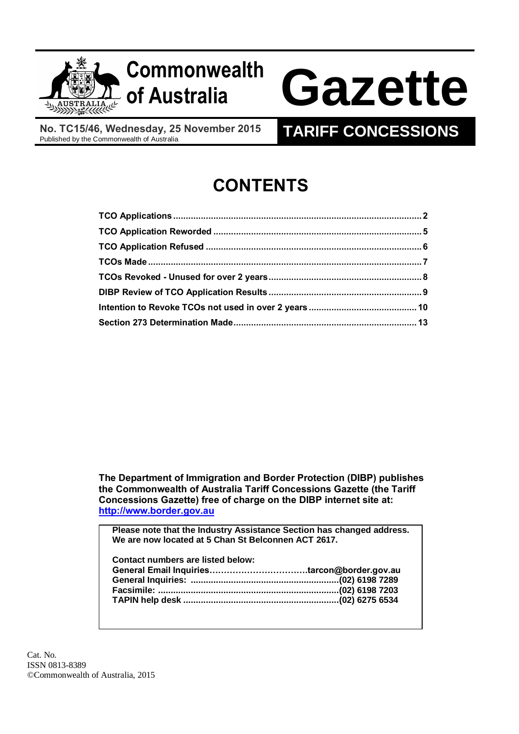

## **Commonwealth**

# **of Australia Gazette**

**No. TC15/46, Wednesday, 25 November 2015**

### **TARIFF CONCESSIONS**

## **CONTENTS**

**The Department of Immigration and Border Protection (DIBP) publishes the Commonwealth of Australia Tariff Concessions Gazette (the Tariff Concessions Gazette) free of charge on the DIBP internet site at: [http://www.border.gov.au](http://www.border.gov.au/)**

**Please note that the Industry Assistance Section has changed address. We are now located at 5 Chan St Belconnen ACT 2617.**

| Contact numbers are listed below: |  |
|-----------------------------------|--|
|                                   |  |
|                                   |  |
|                                   |  |
|                                   |  |
|                                   |  |

Cat. No. ISSN 0813-8389 ©Commonwealth of Australia, 2015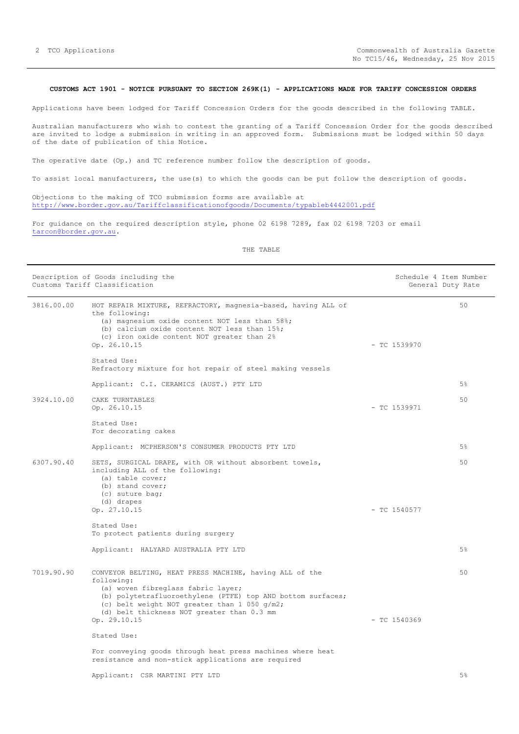#### <span id="page-1-0"></span>**CUSTOMS ACT 1901 - NOTICE PURSUANT TO SECTION 269K(1) - APPLICATIONS MADE FOR TARIFF CONCESSION ORDERS**

Applications have been lodged for Tariff Concession Orders for the goods described in the following TABLE.

Australian manufacturers who wish to contest the granting of a Tariff Concession Order for the goods described are invited to lodge a submission in writing in an approved form. Submissions must be lodged within 50 days of the date of publication of this Notice.

The operative date (Op.) and TC reference number follow the description of goods.

To assist local manufacturers, the use(s) to which the goods can be put follow the description of goods.

Objections to the making of TCO submission forms are available at <http://www.border.gov.au/Tariffclassificationofgoods/Documents/typableb4442001.pdf>

For guidance on the required description style, phone 02 6198 7289, fax 02 6198 7203 or email [tarcon@border.gov.au.](mailto:tarcon@border.gov.au)

#### THE TABLE

| Description of Goods including the<br>Customs Tariff Classification |                                                                                                                                                                                                                                                                          |                | Schedule 4 Item Number<br>General Duty Rate |
|---------------------------------------------------------------------|--------------------------------------------------------------------------------------------------------------------------------------------------------------------------------------------------------------------------------------------------------------------------|----------------|---------------------------------------------|
| 3816.00.00                                                          | HOT REPAIR MIXTURE, REFRACTORY, magnesia-based, having ALL of<br>the following:<br>(a) magnesium oxide content NOT less than 58%;<br>(b) calcium oxide content NOT less than 15%;<br>(c) iron oxide content NOT greater than 2%<br>Op. 26.10.15                          | $-$ TC 1539970 | 50                                          |
|                                                                     | Stated Use:<br>Refractory mixture for hot repair of steel making vessels                                                                                                                                                                                                 |                |                                             |
|                                                                     | Applicant: C.I. CERAMICS (AUST.) PTY LTD                                                                                                                                                                                                                                 |                | 5%                                          |
| 3924.10.00                                                          | CAKE TURNTABLES<br>Op. 26.10.15                                                                                                                                                                                                                                          | $-$ TC 1539971 | 50                                          |
|                                                                     | Stated Use:<br>For decorating cakes                                                                                                                                                                                                                                      |                |                                             |
|                                                                     | Applicant: MCPHERSON'S CONSUMER PRODUCTS PTY LTD                                                                                                                                                                                                                         |                | 5%                                          |
| 6307.90.40                                                          | SETS, SURGICAL DRAPE, with OR without absorbent towels,<br>including ALL of the following:<br>(a) table cover;<br>(b) stand cover;<br>(c) suture bag;<br>(d) drapes                                                                                                      |                | 50                                          |
|                                                                     | Op. 27.10.15                                                                                                                                                                                                                                                             | $-$ TC 1540577 |                                             |
|                                                                     | Stated Use:<br>To protect patients during surgery                                                                                                                                                                                                                        |                |                                             |
|                                                                     | Applicant: HALYARD AUSTRALIA PTY LTD                                                                                                                                                                                                                                     |                | 5%                                          |
| 7019.90.90                                                          | CONVEYOR BELTING, HEAT PRESS MACHINE, having ALL of the<br>following:<br>(a) woven fibreglass fabric layer;<br>(b) polytetrafluoroethylene (PTFE) top AND bottom surfaces;<br>(c) belt weight NOT greater than 1 050 g/m2;<br>(d) belt thickness NOT greater than 0.3 mm |                | 50                                          |
|                                                                     | Op. 29.10.15                                                                                                                                                                                                                                                             | $-$ TC 1540369 |                                             |
|                                                                     | Stated Use:                                                                                                                                                                                                                                                              |                |                                             |
|                                                                     | For conveying goods through heat press machines where heat<br>resistance and non-stick applications are required                                                                                                                                                         |                |                                             |
|                                                                     | Applicant: CSR MARTINI PTY LTD                                                                                                                                                                                                                                           |                | 5%                                          |

5%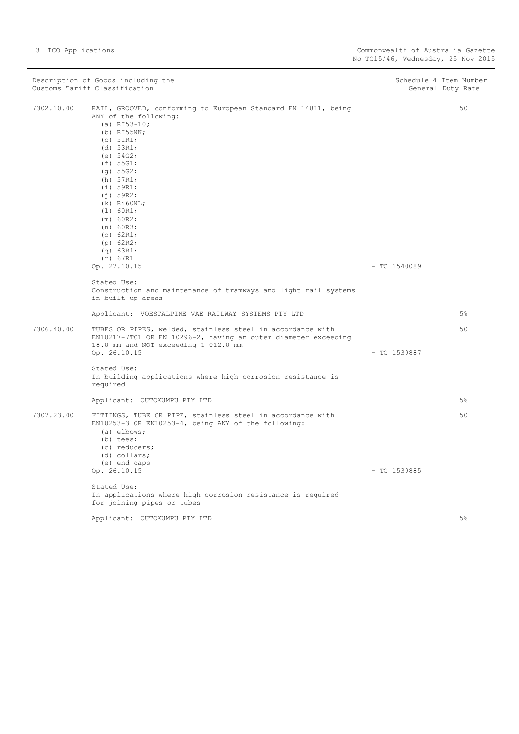|            | Description of Goods including the<br>Customs Tariff Classification                                                                                                                                                                                                                                                                                                     | Schedule 4 Item Number<br>General Duty Rate |
|------------|-------------------------------------------------------------------------------------------------------------------------------------------------------------------------------------------------------------------------------------------------------------------------------------------------------------------------------------------------------------------------|---------------------------------------------|
| 7302.10.00 | RAIL, GROOVED, conforming to European Standard EN 14811, being<br>ANY of the following:<br>(a) $RI53-10;$<br>$(b)$ RI55NK;<br>$(c)$ 51R1;<br>(d) 53R1;<br>(e) $54G2;$<br>(f) 55G1;<br>(g) 55G2;<br>(h) 57R1;<br>(i) 59R1;<br>(i) 59R2;<br>$(k)$ Ri $60NL$ ;<br>(1) 60R1;<br>(m) 60R2;<br>(n) 60R3;<br>(o) $62R1;$<br>(p) 62R2;<br>(q) 63R1;<br>(r) 67R1<br>Op. 27.10.15 | 50<br>$-$ TC 1540089                        |
|            | Stated Use:<br>Construction and maintenance of tramways and light rail systems<br>in built-up areas                                                                                                                                                                                                                                                                     |                                             |
|            | Applicant: VOESTALPINE VAE RAILWAY SYSTEMS PTY LTD                                                                                                                                                                                                                                                                                                                      | 5%                                          |
| 7306.40.00 | TUBES OR PIPES, welded, stainless steel in accordance with<br>EN10217-7TC1 OR EN 10296-2, having an outer diameter exceeding<br>18.0 mm and NOT exceeding 1 012.0 mm<br>Op. 26.10.15<br>Stated Use:                                                                                                                                                                     | 50<br>$-$ TC 1539887                        |
|            | In building applications where high corrosion resistance is<br>required                                                                                                                                                                                                                                                                                                 |                                             |
|            | Applicant: OUTOKUMPU PTY LTD                                                                                                                                                                                                                                                                                                                                            | 5%                                          |
| 7307.23.00 | FITTINGS, TUBE OR PIPE, stainless steel in accordance with<br>EN10253-3 OR EN10253-4, being ANY of the following:<br>(a) elbows;<br>$(b)$ tees;<br>(c) reducers;<br>(d) collars;<br>(e) end caps                                                                                                                                                                        | 50                                          |
|            | Op. 26.10.15<br>Stated Use:<br>In applications where high corrosion resistance is required<br>for joining pipes or tubes                                                                                                                                                                                                                                                | $-$ TC 1539885                              |
|            | Applicant: OUTOKUMPU PTY LTD                                                                                                                                                                                                                                                                                                                                            | 5%                                          |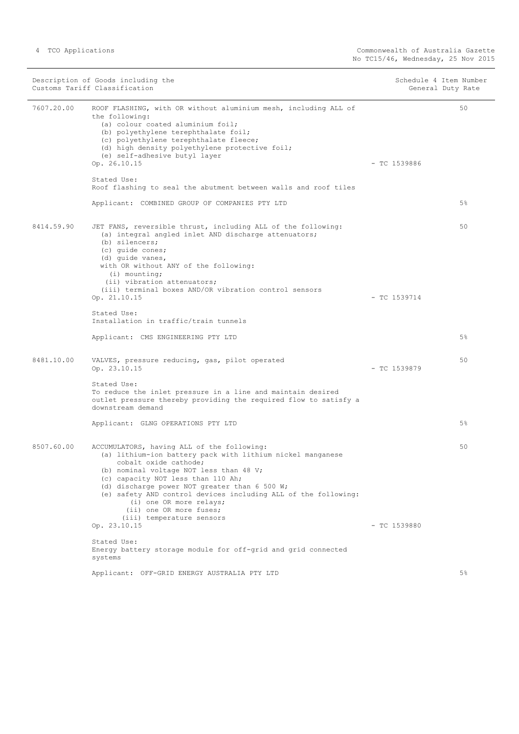|            | Description of Goods including the<br>Customs Tariff Classification                                                                                                                                                                                                                                                                                                                                                      | Schedule 4 Item Number<br>General Duty Rate |       |
|------------|--------------------------------------------------------------------------------------------------------------------------------------------------------------------------------------------------------------------------------------------------------------------------------------------------------------------------------------------------------------------------------------------------------------------------|---------------------------------------------|-------|
| 7607.20.00 | ROOF FLASHING, with OR without aluminium mesh, including ALL of<br>the following:<br>(a) colour coated aluminium foil;<br>(b) polyethylene terephthalate foil;<br>(c) polyethylene terephthalate fleece;<br>(d) high density polyethylene protective foil;<br>(e) self-adhesive butyl layer<br>Op. 26.10.15                                                                                                              | $-$ TC 1539886                              | 50    |
|            | Stated Use:<br>Roof flashing to seal the abutment between walls and roof tiles                                                                                                                                                                                                                                                                                                                                           |                                             |       |
|            | Applicant: COMBINED GROUP OF COMPANIES PTY LTD                                                                                                                                                                                                                                                                                                                                                                           |                                             | 5%    |
| 8414.59.90 | JET FANS, reversible thrust, including ALL of the following:<br>(a) integral angled inlet AND discharge attenuators;<br>(b) silencers;<br>(c) quide cones;<br>(d) quide vanes,<br>with OR without ANY of the following:<br>$(i)$ mounting;<br>(ii) vibration attenuators;                                                                                                                                                |                                             | 50    |
|            | (iii) terminal boxes AND/OR vibration control sensors<br>Op. 21.10.15                                                                                                                                                                                                                                                                                                                                                    | $-$ TC 1539714                              |       |
|            | Stated Use:<br>Installation in traffic/train tunnels                                                                                                                                                                                                                                                                                                                                                                     |                                             |       |
|            | Applicant: CMS ENGINEERING PTY LTD                                                                                                                                                                                                                                                                                                                                                                                       |                                             | 5%    |
| 8481.10.00 | VALVES, pressure reducing, gas, pilot operated<br>Op. 23.10.15                                                                                                                                                                                                                                                                                                                                                           | $-$ TC 1539879                              | 50    |
|            | Stated Use:<br>To reduce the inlet pressure in a line and maintain desired<br>outlet pressure thereby providing the required flow to satisfy a<br>downstream demand                                                                                                                                                                                                                                                      |                                             |       |
|            | Applicant: GLNG OPERATIONS PTY LTD                                                                                                                                                                                                                                                                                                                                                                                       |                                             | 5%    |
| 8507.60.00 | ACCUMULATORS, having ALL of the following:<br>(a) lithium-ion battery pack with lithium nickel manganese<br>cobalt oxide cathode;<br>(b) nominal voltage NOT less than 48 V;<br>(c) capacity NOT less than 110 Ah;<br>(d) discharge power NOT greater than 6 500 W;<br>(e) safety AND control devices including ALL of the following:<br>(i) one OR more relays;<br>(ii) one OR more fuses;<br>(iii) temperature sensors |                                             | 50    |
|            | Op. 23.10.15                                                                                                                                                                                                                                                                                                                                                                                                             | $-$ TC 1539880                              |       |
|            | Stated Use:<br>Energy battery storage module for off-grid and grid connected<br>systems                                                                                                                                                                                                                                                                                                                                  |                                             |       |
|            | Applicant: OFF-GRID ENERGY AUSTRALIA PTY LTD                                                                                                                                                                                                                                                                                                                                                                             |                                             | $5\%$ |

5%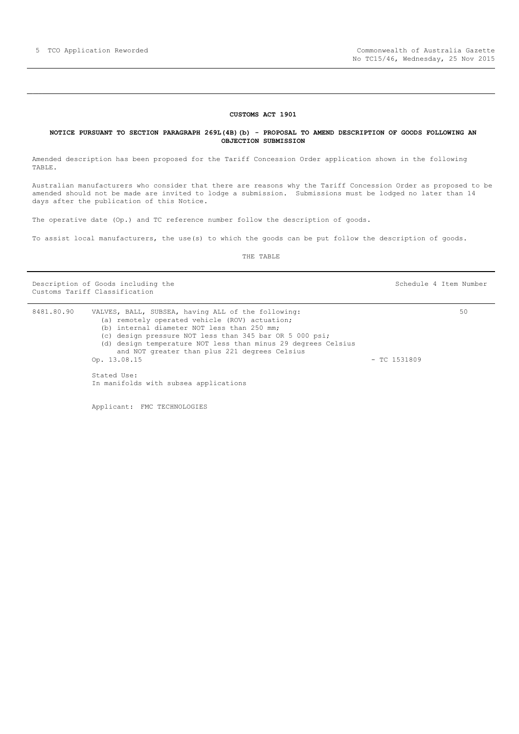#### **CUSTOMS ACT 1901**

#### <span id="page-4-0"></span>**NOTICE PURSUANT TO SECTION PARAGRAPH 269L(4B)(b) - PROPOSAL TO AMEND DESCRIPTION OF GOODS FOLLOWING AN OBJECTION SUBMISSION**

Amended description has been proposed for the Tariff Concession Order application shown in the following TABLE.

Australian manufacturers who consider that there are reasons why the Tariff Concession Order as proposed to be amended should not be made are invited to lodge a submission. Submissions must be lodged no later than 14 days after the publication of this Notice.

The operative date (Op.) and TC reference number follow the description of goods.

To assist local manufacturers, the use(s) to which the goods can be put follow the description of goods.

THE TABLE

Description of Goods including the Schedule 4 Item Number (Schedule 4 Item Number Customs Tariff Classification

8481.80.90 VALVES, BALL, SUBSEA, having ALL of the following: (a) remotely operated vehicle (ROV) actuation; (b) internal diameter NOT less than 250 mm; (c) design pressure NOT less than 345 bar OR 5 000 psi; (d) design temperature NOT less than minus 29 degrees Celsius and NOT greater than plus 221 degrees Celsius Op. 13.08.15 - TC 1531809 Stated Use: In manifolds with subsea applications 50

Applicant: FMC TECHNOLOGIES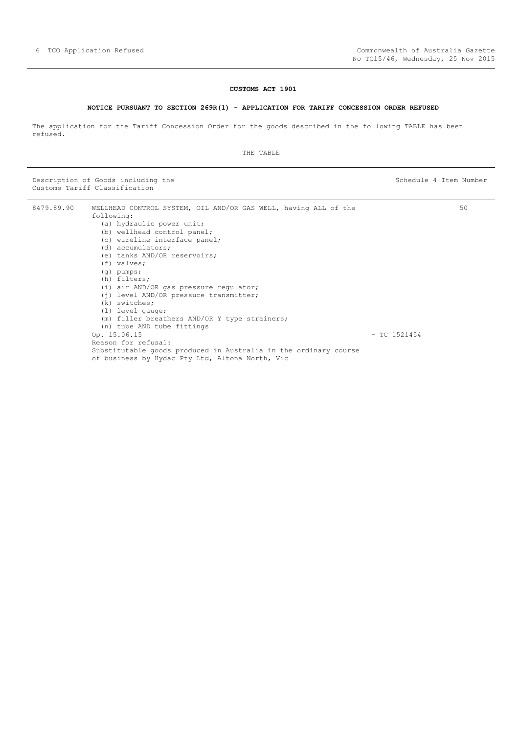#### **CUSTOMS ACT 1901**

#### **NOTICE PURSUANT TO SECTION 269R(1) - APPLICATION FOR TARIFF CONCESSION ORDER REFUSED**

<span id="page-5-0"></span>The application for the Tariff Concession Order for the goods described in the following TABLE has been refused.

#### THE TABLE

Description of Goods including the Schedule 4 Item Number (Schedule 4 Item Number Customs Tariff Classification

8479.89.90 WELLHEAD CONTROL SYSTEM, OIL AND/OR GAS WELL, having ALL of the following: (a) hydraulic power unit; (b) wellhead control panel; (c) wireline interface panel; (d) accumulators; (e) tanks AND/OR reservoirs; (f) valves; (g) pumps; (h) filters; (i) air AND/OR gas pressure regulator; (j) level AND/OR pressure transmitter; (k) switches; (l) level gauge; (m) filler breathers AND/OR Y type strainers; (n) tube AND tube fittings Op. 15.06.15 - TC 1521454 Reason for refusal: Substitutable goods produced in Australia in the ordinary course of business by Hydac Pty Ltd, Altona North, Vic 50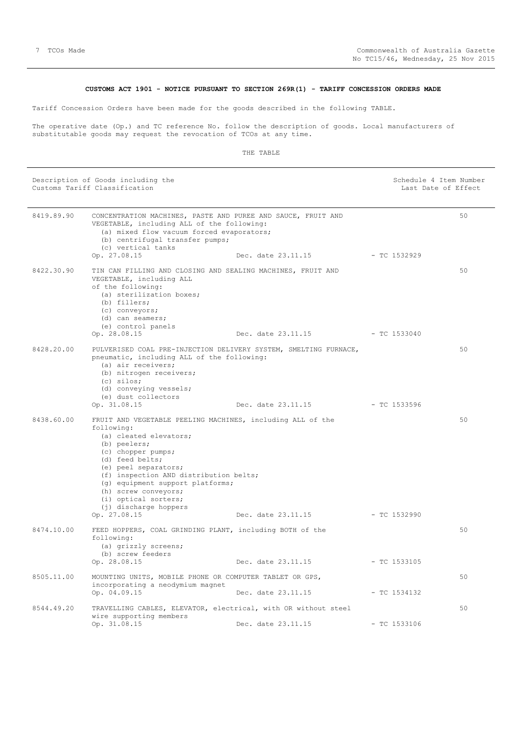#### **CUSTOMS ACT 1901 - NOTICE PURSUANT TO SECTION 269R(1) - TARIFF CONCESSION ORDERS MADE**

<span id="page-6-0"></span>Tariff Concession Orders have been made for the goods described in the following TABLE.

The operative date (Op.) and TC reference No. follow the description of goods. Local manufacturers of substitutable goods may request the revocation of TCOs at any time.

| Description of Goods including the<br>Customs Tariff Classification |                                                                                                                                                                                                                                                                                                                                                            |                                 | Schedule 4 Item Number<br>Last Date of Effect |    |
|---------------------------------------------------------------------|------------------------------------------------------------------------------------------------------------------------------------------------------------------------------------------------------------------------------------------------------------------------------------------------------------------------------------------------------------|---------------------------------|-----------------------------------------------|----|
| 8419.89.90                                                          | CONCENTRATION MACHINES, PASTE AND PUREE AND SAUCE, FRUIT AND<br>VEGETABLE, including ALL of the following:<br>(a) mixed flow vacuum forced evaporators;<br>(b) centrifugal transfer pumps;<br>(c) vertical tanks                                                                                                                                           |                                 |                                               | 50 |
|                                                                     | Op. 27.08.15                                                                                                                                                                                                                                                                                                                                               | Dec. date 23.11.15              | $-TC$ 1532929                                 |    |
| 8422.30.90                                                          | TIN CAN FILLING AND CLOSING AND SEALING MACHINES, FRUIT AND<br>VEGETABLE, including ALL<br>of the following:<br>(a) sterilization boxes;<br>(b) fillers;<br>(c) conveyors;<br>(d) can seamers;<br>(e) control panels<br>Op. 28.08.15                                                                                                                       | Dec. date 23.11.15 - TC 1533040 |                                               | 50 |
| 8428.20.00                                                          | PULVERISED COAL PRE-INJECTION DELIVERY SYSTEM, SMELTING FURNACE,<br>pneumatic, including ALL of the following:<br>(a) air receivers;<br>(b) nitrogen receivers;<br>$(c)$ silos;<br>(d) conveying vessels;<br>(e) dust collectors                                                                                                                           |                                 |                                               | 50 |
|                                                                     | Op. 31.08.15                                                                                                                                                                                                                                                                                                                                               | Dec. date 23.11.15 - TC 1533596 |                                               |    |
| 8438.60.00                                                          | FRUIT AND VEGETABLE PEELING MACHINES, including ALL of the<br>following:<br>(a) cleated elevators;<br>(b) peelers;<br>(c) chopper pumps;<br>(d) feed belts;<br>(e) peel separators;<br>(f) inspection AND distribution belts;<br>(g) equipment support platforms;<br>(h) screw conveyors;<br>(i) optical sorters;<br>(j) discharge hoppers<br>Op. 27.08.15 | Dec. date 23.11.15 - TC 1532990 |                                               | 50 |
| 8474.10.00                                                          | FEED HOPPERS, COAL GRINDING PLANT, including BOTH of the<br>following:<br>(a) grizzly screens;<br>(b) screw feeders                                                                                                                                                                                                                                        |                                 |                                               | 50 |
|                                                                     | Op. 28.08.15                                                                                                                                                                                                                                                                                                                                               | Dec. date 23.11.15              | $-$ TC 1533105                                |    |
| 8505.11.00                                                          | MOUNTING UNITS, MOBILE PHONE OR COMPUTER TABLET OR GPS,<br>incorporating a neodymium magnet<br>Op. 04.09.15                                                                                                                                                                                                                                                | Dec. date 23.11.15              | $-TC$ 1534132                                 | 50 |
| 8544.49.20                                                          | TRAVELLING CABLES, ELEVATOR, electrical, with OR without steel                                                                                                                                                                                                                                                                                             |                                 |                                               | 50 |
|                                                                     | wire supporting members<br>Op. 31.08.15                                                                                                                                                                                                                                                                                                                    | Dec. date 23.11.15              | $-TC$ 1533106                                 |    |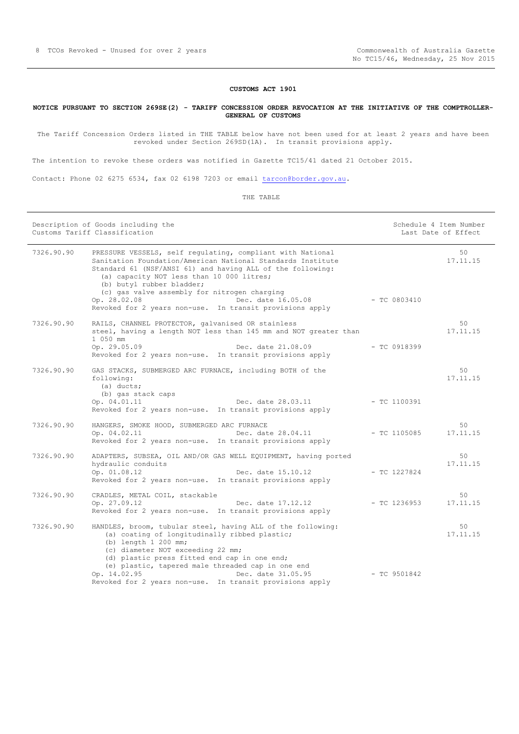#### **CUSTOMS ACT 1901**

#### <span id="page-7-0"></span>**NOTICE PURSUANT TO SECTION 269SE(2) - TARIFF CONCESSION ORDER REVOCATION AT THE INITIATIVE OF THE COMPTROLLER-GENERAL OF CUSTOMS**

The Tariff Concession Orders listed in THE TABLE below have not been used for at least 2 years and have been revoked under Section 269SD(1A). In transit provisions apply.

The intention to revoke these orders was notified in Gazette TC15/41 dated 21 October 2015.

Contact: Phone 02 6275 6534, fax 02 6198 7203 or email [tarcon@border.gov.au.](mailto:tarcon@border.gov.au)

|            | Description of Goods including the<br>Customs Tariff Classification                                                                                                                                                                                                                                                                                                               |                | Schedule 4 Item Number<br>Last Date of Effect |
|------------|-----------------------------------------------------------------------------------------------------------------------------------------------------------------------------------------------------------------------------------------------------------------------------------------------------------------------------------------------------------------------------------|----------------|-----------------------------------------------|
| 7326.90.90 | PRESSURE VESSELS, self regulating, compliant with National<br>Sanitation Foundation/American National Standards Institute<br>Standard 61 (NSF/ANSI 61) and having ALL of the following:<br>(a) capacity NOT less than 10 000 litres;<br>(b) butyl rubber bladder;<br>(c) gas valve assembly for nitrogen charging                                                                 |                | 50<br>17.11.15                                |
|            | Dec. date 16.05.08<br>Op. 28.02.08<br>Revoked for 2 years non-use. In transit provisions apply                                                                                                                                                                                                                                                                                    | $-$ TC 0803410 |                                               |
| 7326.90.90 | RAILS, CHANNEL PROTECTOR, galvanised OR stainless<br>steel, having a length NOT less than 145 mm and NOT greater than<br>1 050 mm<br>Op. 29.05.09<br>Dec. date 21.08.09<br>Revoked for 2 years non-use. In transit provisions apply                                                                                                                                               | $-$ TC 0918399 | 50<br>17.11.15                                |
| 7326.90.90 | GAS STACKS, SUBMERGED ARC FURNACE, including BOTH of the<br>following:<br>$(a)$ ducts;<br>(b) gas stack caps<br>Op. 04.01.11<br>Dec. date 28.03.11<br>Revoked for 2 years non-use. In transit provisions apply                                                                                                                                                                    | $-$ TC 1100391 | 50<br>17.11.15                                |
| 7326.90.90 | HANGERS, SMOKE HOOD, SUBMERGED ARC FURNACE<br>Dec. date 28.04.11<br>Op. 04.02.11<br>Revoked for 2 years non-use. In transit provisions apply                                                                                                                                                                                                                                      | $-$ TC 1105085 | 50<br>17.11.15                                |
| 7326.90.90 | ADAPTERS, SUBSEA, OIL AND/OR GAS WELL EQUIPMENT, having ported<br>hydraulic conduits<br>Op. 01.08.12<br>Dec. date 15.10.12<br>Revoked for 2 years non-use. In transit provisions apply                                                                                                                                                                                            | $-$ TC 1227824 | 50<br>17.11.15                                |
| 7326.90.90 | CRADLES, METAL COIL, stackable<br>Op. 27.09.12<br>Dec. date 17.12.12<br>Revoked for 2 years non-use. In transit provisions apply                                                                                                                                                                                                                                                  | $-$ TC 1236953 | 50<br>17.11.15                                |
| 7326.90.90 | HANDLES, broom, tubular steel, having ALL of the following:<br>(a) coating of longitudinally ribbed plastic;<br>(b) length $1200$ mm;<br>(c) diameter NOT exceeding 22 mm;<br>(d) plastic press fitted end cap in one end;<br>(e) plastic, tapered male threaded cap in one end<br>Op. 14.02.95<br>Dec. date 31.05.95<br>Revoked for 2 years non-use. In transit provisions apply | $-$ TC 9501842 | 50<br>17.11.15                                |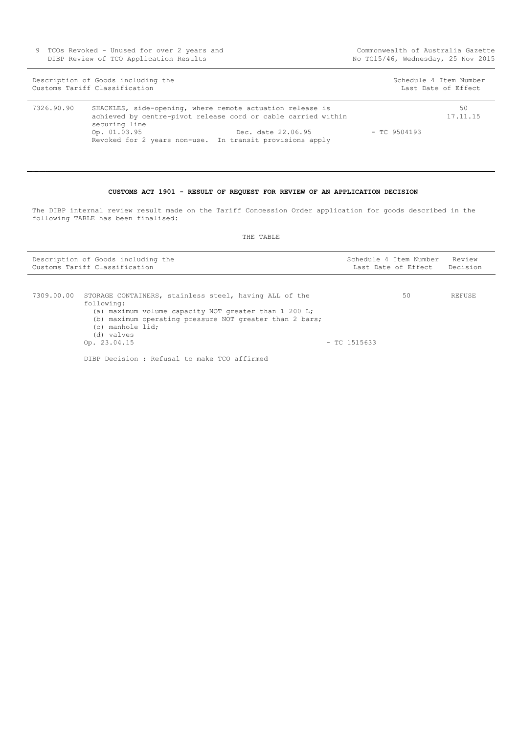9 TCOs Revoked - Unused for over 2 years and DIBP Review of TCO Application Results

|            | Description of Goods including the<br>Customs Tariff Classification |                                                                                                                                                                                                              |                | Schedule 4 Item Number<br>Last Date of Effect |
|------------|---------------------------------------------------------------------|--------------------------------------------------------------------------------------------------------------------------------------------------------------------------------------------------------------|----------------|-----------------------------------------------|
| 7326.90.90 | securing line<br>Op. 01.03.95                                       | SHACKLES, side-opening, where remote actuation release is<br>achieved by centre-pivot release cord or cable carried within<br>Dec. date 22.06.95<br>Revoked for 2 years non-use. In transit provisions apply | $-$ TC 9504193 | 50<br>17.11.15                                |

#### **CUSTOMS ACT 1901 - RESULT OF REQUEST FOR REVIEW OF AN APPLICATION DECISION**

<span id="page-8-0"></span>The DIBP internal review result made on the Tariff Concession Order application for goods described in the following TABLE has been finalised:

| Description of Goods including the<br>Customs Tariff Classification |                                                                                                                                                                                                                                            |                | Schedule 4 Item Number<br>Last Date of Effect | Review<br>Decision |
|---------------------------------------------------------------------|--------------------------------------------------------------------------------------------------------------------------------------------------------------------------------------------------------------------------------------------|----------------|-----------------------------------------------|--------------------|
| 7309.00.00                                                          | STORAGE CONTAINERS, stainless steel, having ALL of the<br>following:<br>(a) maximum volume capacity NOT greater than 1 200 L;<br>(b) maximum operating pressure NOT greater than 2 bars;<br>(c) manhole lid;<br>(d) valves<br>Op. 23.04.15 | $-$ TC 1515633 | 50                                            | REFUSE             |
|                                                                     | DIBP Decision: Refusal to make TCO affirmed                                                                                                                                                                                                |                |                                               |                    |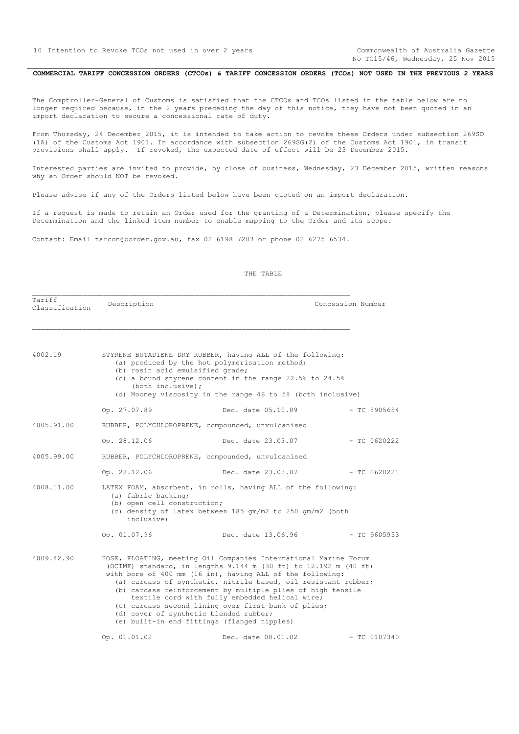No TC15/46, Wednesday, 25 Nov 2015

#### <span id="page-9-0"></span>COMMERCIAL TARIFF CONCESSION ORDERS (CTCOs) & TARIFF CONCESSION ORDERS (TCOs) NOT USED IN THE PREVIOUS 2 YEARS

The Comptroller-General of Customs is satisfied that the CTCOs and TCOs listed in the table below are no longer required because, in the 2 years preceding the day of this notice, they have not been quoted in an import declaration to secure a concessional rate of duty.

From Thursday, 24 December 2015, it is intended to take action to revoke these Orders under subsection 269SD (1A) of the Customs Act 1901. In accordance with subsection 269SG(2) of the Customs Act 1901, in transit provisions shall apply. If revoked, the expected date of effect will be 23 December 2015.

Interested parties are invited to provide, by close of business, Wednesday, 23 December 2015, written reasons why an Order should NOT be revoked.

Please advise if any of the Orders listed below have been quoted on an import declaration.

If a request is made to retain an Order used for the granting of a Determination, please specify the Determination and the linked Item number to enable mapping to the Order and its scope.

Contact: Email tarcon@border.gov.au, fax 02 6198 7203 or phone 02 6275 6534.

| Tariff<br>Classification | Description                                                                                                                                                                                    |                                                                                                                                                                                                                                                                                                                                                                                                                                                                                                                                      | Concession Number |  |  |
|--------------------------|------------------------------------------------------------------------------------------------------------------------------------------------------------------------------------------------|--------------------------------------------------------------------------------------------------------------------------------------------------------------------------------------------------------------------------------------------------------------------------------------------------------------------------------------------------------------------------------------------------------------------------------------------------------------------------------------------------------------------------------------|-------------------|--|--|
| 4002.19                  | (b) rosin acid emulsified grade;<br>(both inclusive);                                                                                                                                          | STYRENE BUTADIENE DRY RUBBER, having ALL of the following:<br>(a) produced by the hot polymerisation method;<br>(c) a bound styrene content in the range $22.5%$ to $24.5%$<br>(d) Mooney viscosity in the range 46 to 58 (both inclusive)                                                                                                                                                                                                                                                                                           |                   |  |  |
|                          | Op. 27.07.89                                                                                                                                                                                   | Dec. date 05.10.89                                                                                                                                                                                                                                                                                                                                                                                                                                                                                                                   | $-$ TC 8905654    |  |  |
| 4005.91.00               |                                                                                                                                                                                                | RUBBER, POLYCHLOROPRENE, compounded, unvulcanised                                                                                                                                                                                                                                                                                                                                                                                                                                                                                    |                   |  |  |
|                          | Op. 28.12.06                                                                                                                                                                                   | Dec. date 23.03.07                                                                                                                                                                                                                                                                                                                                                                                                                                                                                                                   | $-$ TC 0620222    |  |  |
| 4005.99.00               | RUBBER, POLYCHLOROPRENE, compounded, unvulcanised                                                                                                                                              |                                                                                                                                                                                                                                                                                                                                                                                                                                                                                                                                      |                   |  |  |
|                          | Op. 28.12.06                                                                                                                                                                                   | Dec. date 23.03.07                                                                                                                                                                                                                                                                                                                                                                                                                                                                                                                   | $-$ TC 0620221    |  |  |
| 4008.11.00               | LATEX FOAM, absorbent, in rolls, having ALL of the following:<br>(a) fabric backing;<br>(b) open cell construction;<br>(c) density of latex between 185 gm/m2 to 250 gm/m2 (both<br>inclusive) |                                                                                                                                                                                                                                                                                                                                                                                                                                                                                                                                      |                   |  |  |
|                          | Op. 01.07.96                                                                                                                                                                                   | Dec. date 13.06.96                                                                                                                                                                                                                                                                                                                                                                                                                                                                                                                   | $-$ TC 9605953    |  |  |
| 4009.42.90               |                                                                                                                                                                                                | HOSE, FLOATING, meeting Oil Companies International Marine Forum<br>(OCIMF) standard, in lengths 9.144 m (30 ft) to 12.192 m (40 ft)<br>with bore of 400 mm (16 in), having ALL of the following:<br>(a) carcass of synthetic, nitrile based, oil resistant rubber;<br>(b) carcass reinforcement by multiple plies of high tensile<br>textile cord with fully embedded helical wire;<br>(c) carcass second lining over first bank of plies;<br>(d) cover of synthetic blended rubber;<br>(e) built-in end fittings (flanged nipples) |                   |  |  |
|                          | Op. 01.01.02                                                                                                                                                                                   | Dec. date 08.01.02                                                                                                                                                                                                                                                                                                                                                                                                                                                                                                                   | $-$ TC 0107340    |  |  |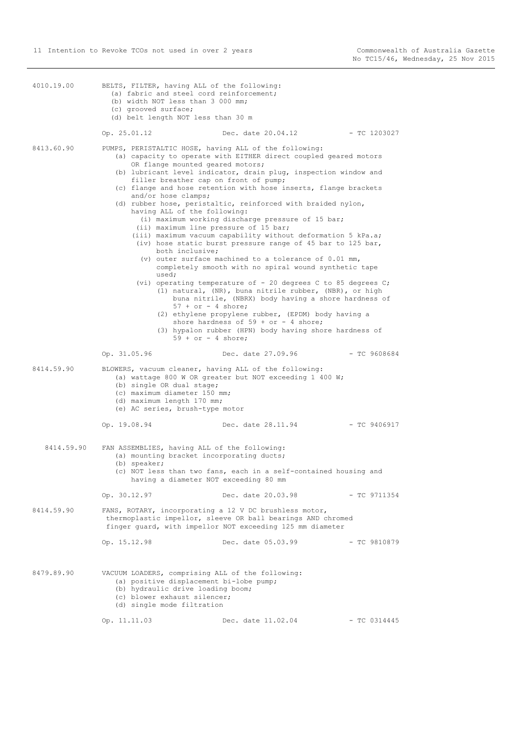| 4010.19.00 | BELTS, FILTER, having ALL of the following:<br>(a) fabric and steel cord reinforcement;<br>(b) width NOT less than 3 000 mm;<br>(c) grooved surface;<br>(d) belt length NOT less than 30 m                                                                                                                                     |                                                                                                                                                                                                                                                                                                                                                                                                                                                                                                                                                                                                                                                                                                                                                                                                                                                                                                                                                      |                |
|------------|--------------------------------------------------------------------------------------------------------------------------------------------------------------------------------------------------------------------------------------------------------------------------------------------------------------------------------|------------------------------------------------------------------------------------------------------------------------------------------------------------------------------------------------------------------------------------------------------------------------------------------------------------------------------------------------------------------------------------------------------------------------------------------------------------------------------------------------------------------------------------------------------------------------------------------------------------------------------------------------------------------------------------------------------------------------------------------------------------------------------------------------------------------------------------------------------------------------------------------------------------------------------------------------------|----------------|
|            | Op. 25.01.12                                                                                                                                                                                                                                                                                                                   | Dec. date 20.04.12                                                                                                                                                                                                                                                                                                                                                                                                                                                                                                                                                                                                                                                                                                                                                                                                                                                                                                                                   | - TC 1203027   |
| 8413.60.90 | PUMPS, PERISTALTIC HOSE, having ALL of the following:<br>OR flange mounted geared motors;<br>filler breather cap on front of pump;<br>and/or hose clamps;<br>having ALL of the following:<br>(ii) maximum line pressure of 15 bar;<br>both inclusive;<br>used;<br>$57 + or - 4$ shore;<br>$59 + or - 4$ shore;<br>Op. 31.05.96 | (a) capacity to operate with EITHER direct coupled geared motors<br>(b) lubricant level indicator, drain plug, inspection window and<br>(c) flange and hose retention with hose inserts, flange brackets<br>(d) rubber hose, peristaltic, reinforced with braided nylon,<br>(i) maximum working discharge pressure of 15 bar;<br>(iii) maximum vacuum capability without deformation 5 kPa.a;<br>(iv) hose static burst pressure range of 45 bar to 125 bar,<br>(v) outer surface machined to a tolerance of $0.01$ mm,<br>completely smooth with no spiral wound synthetic tape<br>(vi) operating temperature of - 20 degrees C to 85 degrees C;<br>(1) natural, (NR), buna nitrile rubber, (NBR), or high<br>buna nitrile, (NBRX) body having a shore hardness of<br>(2) ethylene propylene rubber, (EPDM) body having a<br>shore hardness of $59 + or - 4$ shore;<br>(3) hypalon rubber (HPN) body having shore hardness of<br>Dec. date 27.09.96 | $-$ TC 9608684 |
| 8414.59.90 | BLOWERS, vacuum cleaner, having ALL of the following:                                                                                                                                                                                                                                                                          |                                                                                                                                                                                                                                                                                                                                                                                                                                                                                                                                                                                                                                                                                                                                                                                                                                                                                                                                                      |                |
|            | (b) single OR dual stage;<br>(c) maximum diameter 150 mm;<br>(d) maximum length 170 mm;<br>(e) AC series, brush-type motor<br>Op. 19.08.94                                                                                                                                                                                     | (a) wattage 800 W OR greater but NOT exceeding 1 400 W;<br>Dec. date 28.11.94                                                                                                                                                                                                                                                                                                                                                                                                                                                                                                                                                                                                                                                                                                                                                                                                                                                                        | - TC 9406917   |
| 8414.59.90 | FAN ASSEMBLIES, having ALL of the following:<br>(a) mounting bracket incorporating ducts;<br>(b) speaker;<br>having a diameter NOT exceeding 80 mm                                                                                                                                                                             | (c) NOT less than two fans, each in a self-contained housing and                                                                                                                                                                                                                                                                                                                                                                                                                                                                                                                                                                                                                                                                                                                                                                                                                                                                                     |                |
|            | Op. 30.12.97                                                                                                                                                                                                                                                                                                                   | Dec. date 20.03.98                                                                                                                                                                                                                                                                                                                                                                                                                                                                                                                                                                                                                                                                                                                                                                                                                                                                                                                                   | - TC 9711354   |
| 8414.59.90 | FANS, ROTARY, incorporating a 12 V DC brushless motor,                                                                                                                                                                                                                                                                         | thermoplastic impellor, sleeve OR ball bearings AND chromed<br>finger quard, with impellor NOT exceeding 125 mm diameter                                                                                                                                                                                                                                                                                                                                                                                                                                                                                                                                                                                                                                                                                                                                                                                                                             |                |
|            | Op. 15.12.98                                                                                                                                                                                                                                                                                                                   | Dec. date 05.03.99                                                                                                                                                                                                                                                                                                                                                                                                                                                                                                                                                                                                                                                                                                                                                                                                                                                                                                                                   | $-$ TC 9810879 |
| 8479.89.90 | VACUUM LOADERS, comprising ALL of the following:<br>(a) positive displacement bi-lobe pump;<br>(b) hydraulic drive loading boom;<br>(c) blower exhaust silencer;<br>(d) single mode filtration                                                                                                                                 |                                                                                                                                                                                                                                                                                                                                                                                                                                                                                                                                                                                                                                                                                                                                                                                                                                                                                                                                                      |                |
|            | Op. 11.11.03                                                                                                                                                                                                                                                                                                                   | Dec. date 11.02.04                                                                                                                                                                                                                                                                                                                                                                                                                                                                                                                                                                                                                                                                                                                                                                                                                                                                                                                                   | $-$ TC 0314445 |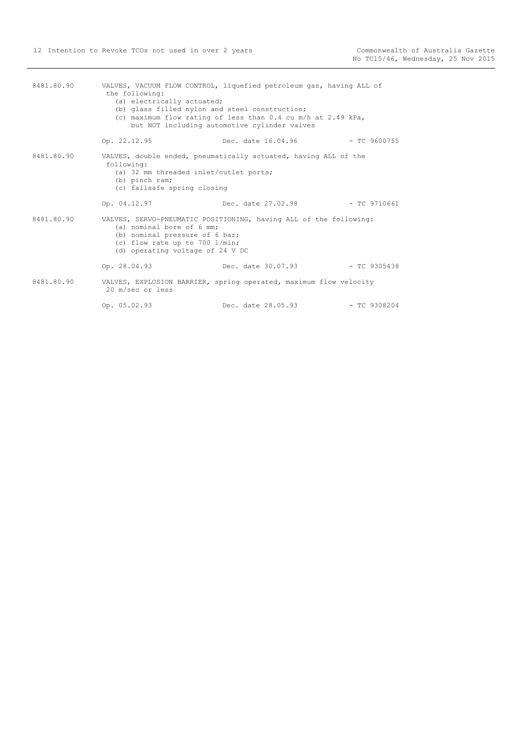| 8481.80.90 | the following:<br>(a) electrically actuated;<br>(b) glass filled nylon and steel construction;                                                                                                         | VALVES, VACUUM FLOW CONTROL, liquefied petroleum gas, having ALL of<br>(c) maximum flow rating of less than $0.4$ cu m/h at $2.49$ kPa,<br>but NOT including automotive cylinder valves |                |
|------------|--------------------------------------------------------------------------------------------------------------------------------------------------------------------------------------------------------|-----------------------------------------------------------------------------------------------------------------------------------------------------------------------------------------|----------------|
|            | Op. 22.12.95                                                                                                                                                                                           | Dec. date 16.04.96                                                                                                                                                                      | $-$ TC 9600755 |
| 8481.80.90 | VALVES, double ended, pneumatically actuated, having ALL of the<br>following:<br>(a) 32 mm threaded inlet/outlet ports;<br>(b) pinch ram;<br>(c) failsafe spring closing                               |                                                                                                                                                                                         |                |
|            | Op. 04.12.97                                                                                                                                                                                           | Dec. date 27.02.98                                                                                                                                                                      | $-$ TC 9710661 |
| 8481.80.90 | VALVES, SERVO-PNEUMATIC POSITIONING, having ALL of the following:<br>(a) nominal bore of 6 mm;<br>(b) nominal pressure of 6 bar;<br>(c) flow rate up to 700 l/min;<br>(d) operating voltage of 24 V DC |                                                                                                                                                                                         |                |
|            | Op. 28.04.93                                                                                                                                                                                           | Dec. date 30.07.93                                                                                                                                                                      | $-$ TC 9305438 |
| 8481.80.90 | VALVES, EXPLOSION BARRIER, spring operated, maximum flow velocity<br>20 m/sec or less                                                                                                                  |                                                                                                                                                                                         |                |
|            | Op. 05.02.93                                                                                                                                                                                           | Dec. date 28.05.93                                                                                                                                                                      | $-$ TC 9308204 |